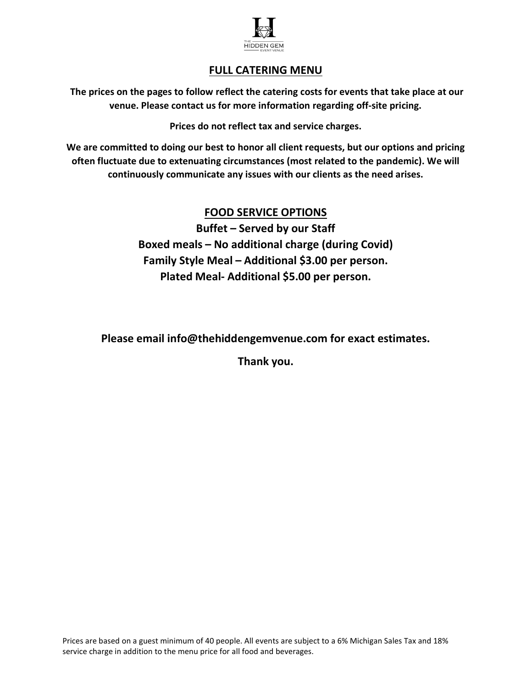

# FULL CATERING MENU

The prices on the pages to follow reflect the catering costs for events that take place at our venue. Please contact us for more information regarding off-site pricing.

Prices do not reflect tax and service charges.

We are committed to doing our best to honor all client requests, but our options and pricing often fluctuate due to extenuating circumstances (most related to the pandemic). We will continuously communicate any issues with our clients as the need arises.

# FOOD SERVICE OPTIONS

Buffet – Served by our Staff Boxed meals – No additional charge (during Covid) Family Style Meal – Additional \$3.00 per person. Plated Meal- Additional \$5.00 per person.

Please email info@thehiddengemvenue.com for exact estimates.

Thank you.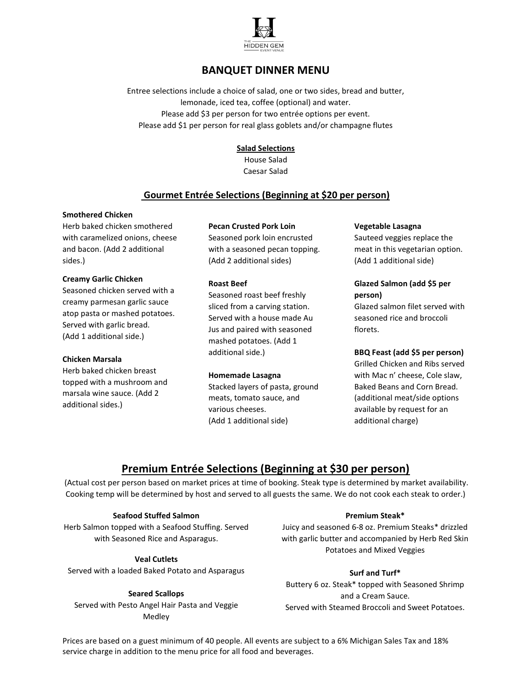

# BANQUET DINNER MENU

Entree selections include a choice of salad, one or two sides, bread and butter, lemonade, iced tea, coffee (optional) and water. Please add \$3 per person for two entrée options per event. Please add \$1 per person for real glass goblets and/or champagne flutes

### **Salad Selections**

House Salad Caesar Salad

## Gourmet Entrée Selections (Beginning at \$20 per person)

### Smothered Chicken

Herb baked chicken smothered with caramelized onions, cheese and bacon. (Add 2 additional sides.)

#### Creamy Garlic Chicken

Seasoned chicken served with a creamy parmesan garlic sauce atop pasta or mashed potatoes. Served with garlic bread. (Add 1 additional side.)

#### Chicken Marsala

Herb baked chicken breast topped with a mushroom and marsala wine sauce. (Add 2 additional sides.)

### Pecan Crusted Pork Loin

Seasoned pork loin encrusted with a seasoned pecan topping. (Add 2 additional sides)

### Roast Beef

Seasoned roast beef freshly sliced from a carving station. Served with a house made Au Jus and paired with seasoned mashed potatoes. (Add 1 additional side.)

### Homemade Lasagna

Stacked layers of pasta, ground meats, tomato sauce, and various cheeses. (Add 1 additional side)

### Vegetable Lasagna

Sauteed veggies replace the meat in this vegetarian option. (Add 1 additional side)

### Glazed Salmon (add \$5 per person)

Glazed salmon filet served with seasoned rice and broccoli florets.

### BBQ Feast (add \$5 per person)

Grilled Chicken and Ribs served with Mac n' cheese, Cole slaw, Baked Beans and Corn Bread. (additional meat/side options available by request for an additional charge)

# Premium Entrée Selections (Beginning at \$30 per person)

 (Actual cost per person based on market prices at time of booking. Steak type is determined by market availability. Cooking temp will be determined by host and served to all guests the same. We do not cook each steak to order.)

### Seafood Stuffed Salmon

Herb Salmon topped with a Seafood Stuffing. Served with Seasoned Rice and Asparagus.

### Veal Cutlets

Served with a loaded Baked Potato and Asparagus

### Seared Scallops

Served with Pesto Angel Hair Pasta and Veggie Medley

### Premium Steak\*

Juicy and seasoned 6-8 oz. Premium Steaks\* drizzled with garlic butter and accompanied by Herb Red Skin Potatoes and Mixed Veggies

### Surf and Turf\*

Buttery 6 oz. Steak\* topped with Seasoned Shrimp and a Cream Sauce. Served with Steamed Broccoli and Sweet Potatoes.

Prices are based on a guest minimum of 40 people. All events are subject to a 6% Michigan Sales Tax and 18% service charge in addition to the menu price for all food and beverages.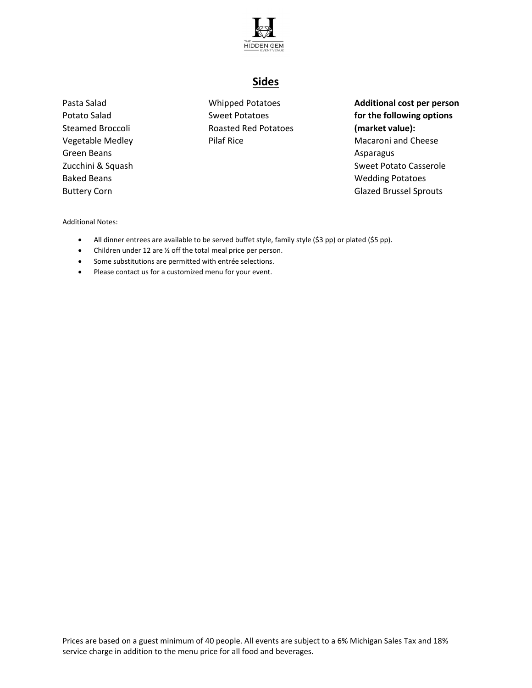

# Sides

Pasta Salad Potato Salad Steamed Broccoli Vegetable Medley Green Beans Zucchini & Squash Baked Beans Buttery Corn

Whipped Potatoes Sweet Potatoes Roasted Red Potatoes Pilaf Rice

Additional cost per person for the following options (market value): Macaroni and Cheese Asparagus Sweet Potato Casserole Wedding Potatoes Glazed Brussel Sprouts

Additional Notes:

- All dinner entrees are available to be served buffet style, family style (\$3 pp) or plated (\$5 pp).
- Children under 12 are  $\frac{1}{2}$  off the total meal price per person.
- Some substitutions are permitted with entrée selections.
- Please contact us for a customized menu for your event.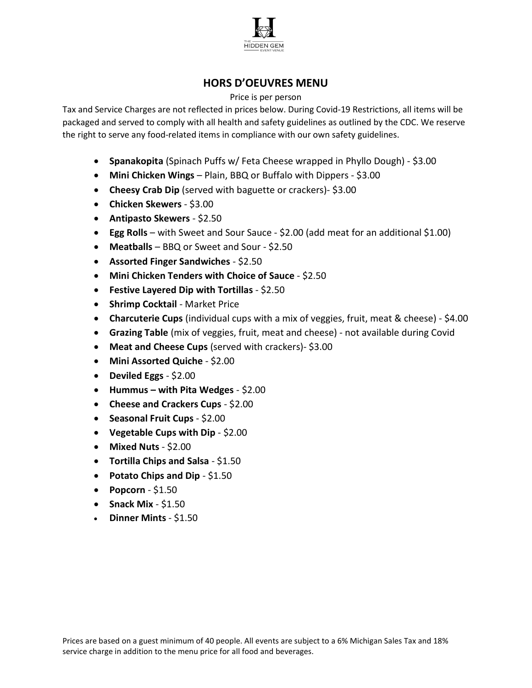

# HORS D'OEUVRES MENU

### Price is per person

Tax and Service Charges are not reflected in prices below. During Covid-19 Restrictions, all items will be packaged and served to comply with all health and safety guidelines as outlined by the CDC. We reserve the right to serve any food-related items in compliance with our own safety guidelines.

- Spanakopita (Spinach Puffs w/ Feta Cheese wrapped in Phyllo Dough) \$3.00
- Mini Chicken Wings Plain, BBQ or Buffalo with Dippers \$3.00
- Cheesy Crab Dip (served with baguette or crackers)- \$3.00
- Chicken Skewers \$3.00
- Antipasto Skewers \$2.50
- Egg Rolls with Sweet and Sour Sauce \$2.00 (add meat for an additional \$1.00)
- Meatballs BBQ or Sweet and Sour \$2.50
- Assorted Finger Sandwiches \$2.50
- Mini Chicken Tenders with Choice of Sauce \$2.50
- Festive Layered Dip with Tortillas \$2.50
- Shrimp Cocktail Market Price
- Charcuterie Cups (individual cups with a mix of veggies, fruit, meat & cheese) \$4.00
- Grazing Table (mix of veggies, fruit, meat and cheese) not available during Covid
- Meat and Cheese Cups (served with crackers)- \$3.00
- Mini Assorted Quiche \$2.00
- Deviled Eggs \$2.00
- Hummus with Pita Wedges  $$2.00$
- Cheese and Crackers Cups \$2.00
- Seasonal Fruit Cups \$2.00
- Vegetable Cups with Dip \$2.00
- Mixed Nuts \$2.00
- Tortilla Chips and Salsa \$1.50
- Potato Chips and Dip \$1.50
- Popcorn  $$1.50$
- Snack Mix  $$1.50$
- Dinner Mints \$1.50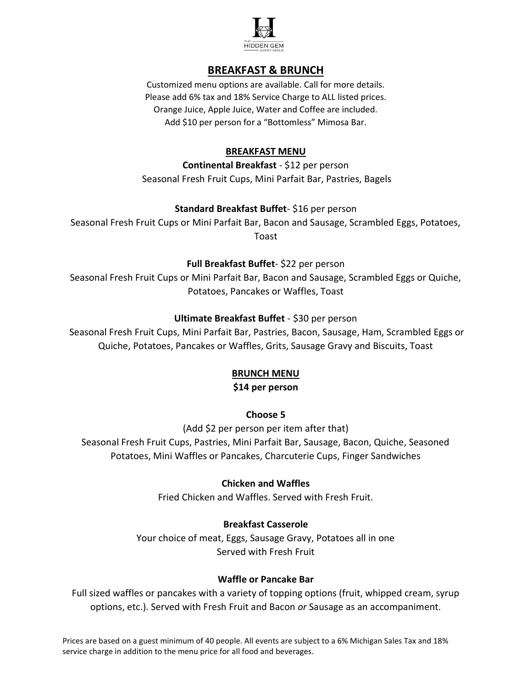

# BREAKFAST & BRUNCH

Customized menu options are available. Call for more details. Please add 6% tax and 18% Service Charge to ALL listed prices. Orange Juice, Apple Juice, Water and Coffee are included. Add \$10 per person for a "Bottomless" Mimosa Bar.

## BREAKFAST MENU

Continental Breakfast - \$12 per person Seasonal Fresh Fruit Cups, Mini Parfait Bar, Pastries, Bagels

## Standard Breakfast Buffet- \$16 per person

Seasonal Fresh Fruit Cups or Mini Parfait Bar, Bacon and Sausage, Scrambled Eggs, Potatoes, Toast

## Full Breakfast Buffet- \$22 per person

Seasonal Fresh Fruit Cups or Mini Parfait Bar, Bacon and Sausage, Scrambled Eggs or Quiche, Potatoes, Pancakes or Waffles, Toast

## Ultimate Breakfast Buffet - \$30 per person

 Seasonal Fresh Fruit Cups, Mini Parfait Bar, Pastries, Bacon, Sausage, Ham, Scrambled Eggs or Quiche, Potatoes, Pancakes or Waffles, Grits, Sausage Gravy and Biscuits, Toast

### BRUNCH MENU

### \$14 per person

## Choose 5

(Add \$2 per person per item after that) Seasonal Fresh Fruit Cups, Pastries, Mini Parfait Bar, Sausage, Bacon, Quiche, Seasoned Potatoes, Mini Waffles or Pancakes, Charcuterie Cups, Finger Sandwiches

## Chicken and Waffles

Fried Chicken and Waffles. Served with Fresh Fruit.

## Breakfast Casserole

Your choice of meat, Eggs, Sausage Gravy, Potatoes all in one Served with Fresh Fruit

### Waffle or Pancake Bar

Full sized waffles or pancakes with a variety of topping options (fruit, whipped cream, syrup options, etc.). Served with Fresh Fruit and Bacon or Sausage as an accompaniment.

Prices are based on a guest minimum of 40 people. All events are subject to a 6% Michigan Sales Tax and 18% service charge in addition to the menu price for all food and beverages.